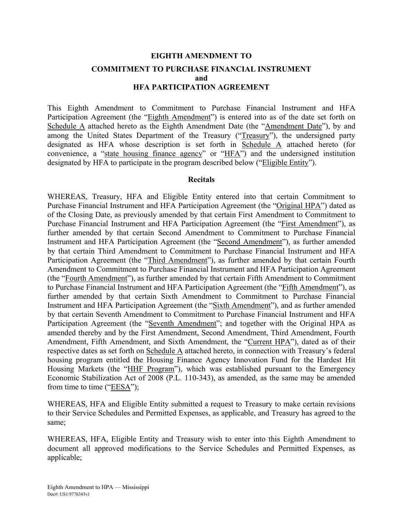## **EIGHTH AMENDMENT TO COMMITMENT TO PURCHASE FINANCIAL INSTRUMENT and HFA PARTICIPATION AGREEMENT**

This Eighth Amendment to Commitment to Purchase Financial Instrument and HFA Participation Agreement (the "Eighth Amendment") is entered into as of the date set forth on Schedule A attached hereto as the Eighth Amendment Date (the "Amendment Date"), by and among the United States Department of the Treasury ("Treasury"), the undersigned party designated as HFA whose description is set forth in Schedule A attached hereto (for convenience, a "state housing finance agency" or "HFA") and the undersigned institution designated by HFA to participate in the program described below ("Eligible Entity").

#### **Recitals**

WHEREAS, Treasury, HFA and Eligible Entity entered into that certain Commitment to Purchase Financial Instrument and HFA Participation Agreement (the "Original HPA") dated as of the Closing Date, as previously amended by that certain First Amendment to Commitment to Purchase Financial Instrument and HFA Participation Agreement (the "First Amendment"), as further amended by that certain Second Amendment to Commitment to Purchase Financial Instrument and HFA Participation Agreement (the "Second Amendment"), as further amended by that certain Third Amendment to Commitment to Purchase Financial Instrument and HFA Participation Agreement (the "Third Amendment"), as further amended by that certain Fourth Amendment to Commitment to Purchase Financial Instrument and HFA Participation Agreement (the "Fourth Amendment"), as further amended by that certain Fifth Amendment to Commitment to Purchase Financial Instrument and HFA Participation Agreement (the "Fifth Amendment"), as further amended by that certain Sixth Amendment to Commitment to Purchase Financial Instrument and HFA Participation Agreement (the "Sixth Amendment"), and as further amended by that certain Seventh Amendment to Commitment to Purchase Financial Instrument and HFA Participation Agreement (the "Seventh Amendment"; and together with the Original HPA as amended thereby and by the First Amendment, Second Amendment, Third Amendment, Fourth Amendment, Fifth Amendment, and Sixth Amendment, the "Current HPA"), dated as of their respective dates as set forth on Schedule A attached hereto, in connection with Treasury's federal housing program entitled the Housing Finance Agency Innovation Fund for the Hardest Hit Housing Markets (the "HHF Program"), which was established pursuant to the Emergency Economic Stabilization Act of 2008 (P.L. 110-343), as amended, as the same may be amended from time to time ("EESA");

WHEREAS, HFA and Eligible Entity submitted a request to Treasury to make certain revisions to their Service Schedules and Permitted Expenses, as applicable, and Treasury has agreed to the same;

WHEREAS, HFA, Eligible Entity and Treasury wish to enter into this Eighth Amendment to document all approved modifications to the Service Schedules and Permitted Expenses, as applicable;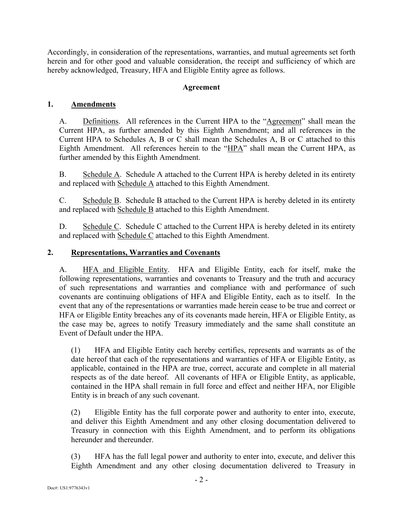Accordingly, in consideration of the representations, warranties, and mutual agreements set forth herein and for other good and valuable consideration, the receipt and sufficiency of which are hereby acknowledged, Treasury, HFA and Eligible Entity agree as follows.

### **Agreement**

### **1. Amendments**

A. Definitions. All references in the Current HPA to the "Agreement" shall mean the Current HPA, as further amended by this Eighth Amendment; and all references in the Current HPA to Schedules A, B or C shall mean the Schedules A, B or C attached to this Eighth Amendment. All references herein to the "HPA" shall mean the Current HPA, as further amended by this Eighth Amendment.

B. Schedule A. Schedule A attached to the Current HPA is hereby deleted in its entirety and replaced with Schedule A attached to this Eighth Amendment.

C. Schedule B. Schedule B attached to the Current HPA is hereby deleted in its entirety and replaced with Schedule B attached to this Eighth Amendment.

D. Schedule C. Schedule C attached to the Current HPA is hereby deleted in its entirety and replaced with Schedule C attached to this Eighth Amendment.

#### **2. Representations, Warranties and Covenants**

A. HFA and Eligible Entity. HFA and Eligible Entity, each for itself, make the following representations, warranties and covenants to Treasury and the truth and accuracy of such representations and warranties and compliance with and performance of such covenants are continuing obligations of HFA and Eligible Entity, each as to itself. In the event that any of the representations or warranties made herein cease to be true and correct or HFA or Eligible Entity breaches any of its covenants made herein, HFA or Eligible Entity, as the case may be, agrees to notify Treasury immediately and the same shall constitute an Event of Default under the HPA.

(1) HFA and Eligible Entity each hereby certifies, represents and warrants as of the date hereof that each of the representations and warranties of HFA or Eligible Entity, as applicable, contained in the HPA are true, correct, accurate and complete in all material respects as of the date hereof. All covenants of HFA or Eligible Entity, as applicable, contained in the HPA shall remain in full force and effect and neither HFA, nor Eligible Entity is in breach of any such covenant.

(2) Eligible Entity has the full corporate power and authority to enter into, execute, and deliver this Eighth Amendment and any other closing documentation delivered to Treasury in connection with this Eighth Amendment, and to perform its obligations hereunder and thereunder

(3) HFA has the full legal power and authority to enter into, execute, and deliver this Eighth Amendment and any other closing documentation delivered to Treasury in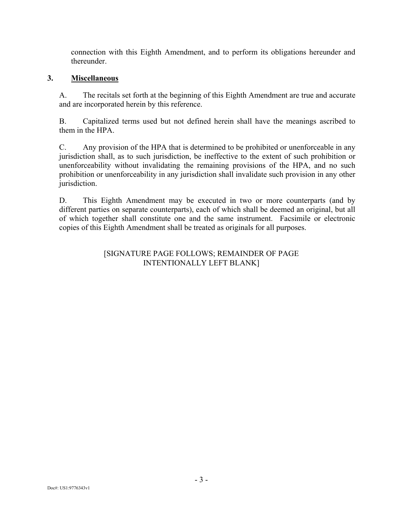connection with this Eighth Amendment, and to perform its obligations hereunder and thereunder.

#### **3. Miscellaneous**

A. The recitals set forth at the beginning of this Eighth Amendment are true and accurate and are incorporated herein by this reference.

B. Capitalized terms used but not defined herein shall have the meanings ascribed to them in the HPA.

C. Any provision of the HPA that is determined to be prohibited or unenforceable in any jurisdiction shall, as to such jurisdiction, be ineffective to the extent of such prohibition or unenforceability without invalidating the remaining provisions of the HPA, and no such prohibition or unenforceability in any jurisdiction shall invalidate such provision in any other jurisdiction.

D. This Eighth Amendment may be executed in two or more counterparts (and by different parties on separate counterparts), each of which shall be deemed an original, but all of which together shall constitute one and the same instrument. Facsimile or electronic copies of this Eighth Amendment shall be treated as originals for all purposes.

### [SIGNATURE PAGE FOLLOWS; REMAINDER OF PAGE INTENTIONALLY LEFT BLANK]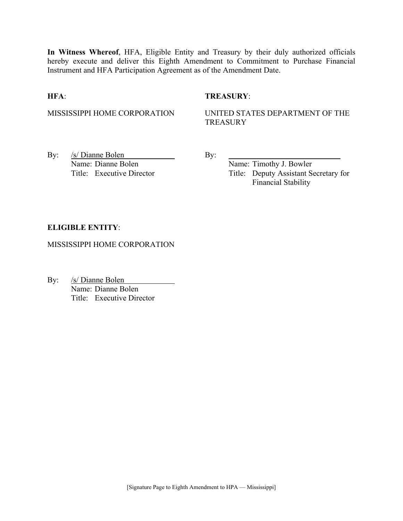**In Witness Whereof**, HFA, Eligible Entity and Treasury by their duly authorized officials hereby execute and deliver this Eighth Amendment to Commitment to Purchase Financial Instrument and HFA Participation Agreement as of the Amendment Date.

#### **HFA**: **TREASURY**:

MISSISSIPPI HOME CORPORATION UNITED STATES DEPARTMENT OF THE **TREASURY** 

By:  $/s/$  Dianne Bolen By: Name: Dianne Bolen Name: Timothy J. Bowler

Title: Executive Director Title: Deputy Assistant Secretary for Financial Stability

#### **ELIGIBLE ENTITY**:

MISSISSIPPI HOME CORPORATION

By: /s/ Dianne Bolen Name: Dianne Bolen Title: Executive Director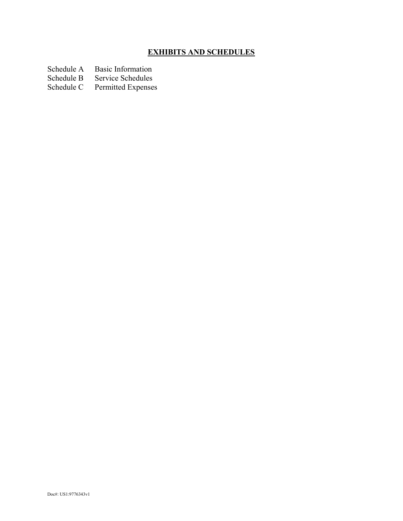## **EXHIBITS AND SCHEDULES**

- Schedule A Basic Information<br>Schedule B Service Schedules
- Schedule B Service Schedules<br>Schedule C Permitted Expenses
- Permitted Expenses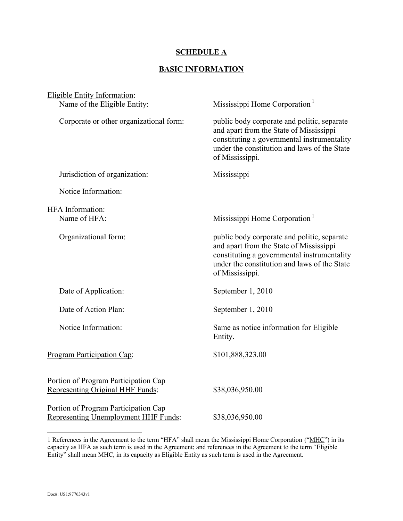#### **SCHEDULE A**

## **BASIC INFORMATION**

| Eligible Entity Information:                                                 |                                                                                                                                                                                                          |
|------------------------------------------------------------------------------|----------------------------------------------------------------------------------------------------------------------------------------------------------------------------------------------------------|
| Name of the Eligible Entity:                                                 | Mississippi Home Corporation <sup>1</sup>                                                                                                                                                                |
| Corporate or other organizational form:                                      | public body corporate and politic, separate<br>and apart from the State of Mississippi<br>constituting a governmental instrumentality<br>under the constitution and laws of the State<br>of Mississippi. |
| Jurisdiction of organization:                                                | Mississippi                                                                                                                                                                                              |
| Notice Information:                                                          |                                                                                                                                                                                                          |
|                                                                              |                                                                                                                                                                                                          |
| <b>HFA</b> Information:<br>Name of HFA:                                      | Mississippi Home Corporation <sup>1</sup>                                                                                                                                                                |
| Organizational form:                                                         | public body corporate and politic, separate<br>and apart from the State of Mississippi<br>constituting a governmental instrumentality<br>under the constitution and laws of the State<br>of Mississippi. |
| Date of Application:                                                         | September 1, 2010                                                                                                                                                                                        |
| Date of Action Plan:                                                         | September 1, 2010                                                                                                                                                                                        |
| Notice Information:                                                          | Same as notice information for Eligible<br>Entity.                                                                                                                                                       |
| Program Participation Cap:                                                   | \$101,888,323.00                                                                                                                                                                                         |
| Portion of Program Participation Cap<br>Representing Original HHF Funds:     | \$38,036,950.00                                                                                                                                                                                          |
| Portion of Program Participation Cap<br>Representing Unemployment HHF Funds: | \$38,036,950.00                                                                                                                                                                                          |

 $\overline{a}$ 

<sup>1</sup> References in the Agreement to the term "HFA" shall mean the Mississippi Home Corporation ("MHC") in its capacity as HFA as such term is used in the Agreement; and references in the Agreement to the term "Eligible Entity" shall mean MHC, in its capacity as Eligible Entity as such term is used in the Agreement.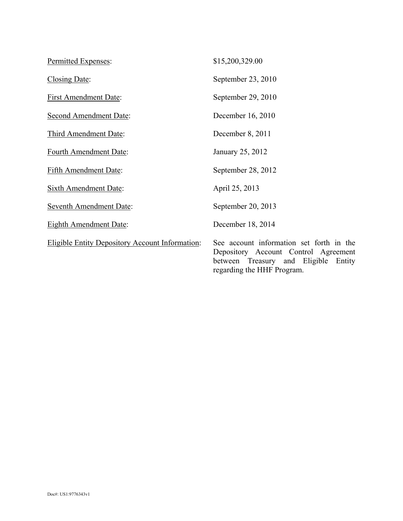| Permitted Expenses:                                    | \$15,200,329.00                                                                                                                |
|--------------------------------------------------------|--------------------------------------------------------------------------------------------------------------------------------|
| Closing Date:                                          | September 23, 2010                                                                                                             |
| <b>First Amendment Date:</b>                           | September 29, 2010                                                                                                             |
| <b>Second Amendment Date:</b>                          | December 16, 2010                                                                                                              |
| Third Amendment Date:                                  | December 8, 2011                                                                                                               |
| Fourth Amendment Date:                                 | January 25, 2012                                                                                                               |
| <b>Fifth Amendment Date:</b>                           | September 28, 2012                                                                                                             |
| Sixth Amendment Date:                                  | April 25, 2013                                                                                                                 |
| <b>Seventh Amendment Date:</b>                         | September 20, 2013                                                                                                             |
| <b>Eighth Amendment Date:</b>                          | December 18, 2014                                                                                                              |
| <b>Eligible Entity Depository Account Information:</b> | See account information set forth in the<br>Depository Account Control Agreement<br>Eligible<br>between Treasury and<br>Entity |

regarding the HHF Program.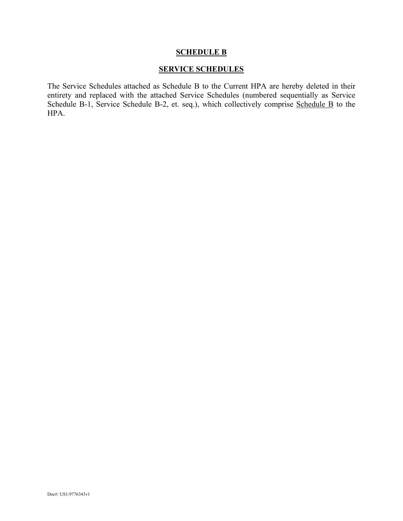#### **SCHEDULE B**

#### **SERVICE SCHEDULES**

The Service Schedules attached as Schedule B to the Current HPA are hereby deleted in their entirety and replaced with the attached Service Schedules (numbered sequentially as Service Schedule B-1, Service Schedule B-2, et. seq.), which collectively comprise Schedule B to the HPA.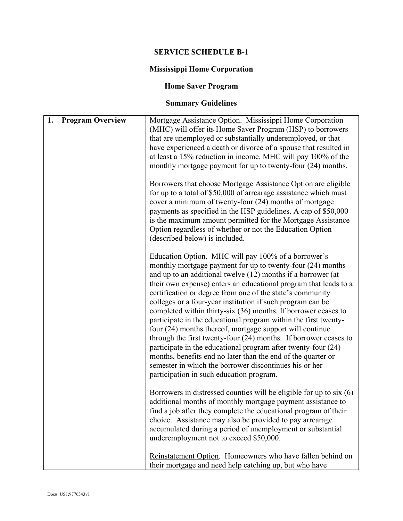## **SERVICE SCHEDULE B-1**

## **Mississippi Home Corporation**

## **Home Saver Program**

# **Summary Guidelines**

| 1.<br><b>Program Overview</b> | Mortgage Assistance Option. Mississippi Home Corporation<br>(MHC) will offer its Home Saver Program (HSP) to borrowers<br>that are unemployed or substantially underemployed, or that<br>have experienced a death or divorce of a spouse that resulted in<br>at least a 15% reduction in income. MHC will pay 100% of the<br>monthly mortgage payment for up to twenty-four (24) months.<br>Borrowers that choose Mortgage Assistance Option are eligible                                                                                                                                                                                                                                                                                                                                                                                                                                    |
|-------------------------------|----------------------------------------------------------------------------------------------------------------------------------------------------------------------------------------------------------------------------------------------------------------------------------------------------------------------------------------------------------------------------------------------------------------------------------------------------------------------------------------------------------------------------------------------------------------------------------------------------------------------------------------------------------------------------------------------------------------------------------------------------------------------------------------------------------------------------------------------------------------------------------------------|
|                               | for up to a total of \$50,000 of arrearage assistance which must<br>cover a minimum of twenty-four (24) months of mortgage<br>payments as specified in the HSP guidelines. A cap of \$50,000<br>is the maximum amount permitted for the Mortgage Assistance<br>Option regardless of whether or not the Education Option<br>(described below) is included.                                                                                                                                                                                                                                                                                                                                                                                                                                                                                                                                    |
|                               | Education Option. MHC will pay 100% of a borrower's<br>monthly mortgage payment for up to twenty-four (24) months<br>and up to an additional twelve (12) months if a borrower (at<br>their own expense) enters an educational program that leads to a<br>certification or degree from one of the state's community<br>colleges or a four-year institution if such program can be<br>completed within thirty-six (36) months. If borrower ceases to<br>participate in the educational program within the first twenty-<br>four (24) months thereof, mortgage support will continue<br>through the first twenty-four (24) months. If borrower ceases to<br>participate in the educational program after twenty-four (24)<br>months, benefits end no later than the end of the quarter or<br>semester in which the borrower discontinues his or her<br>participation in such education program. |
|                               | Borrowers in distressed counties will be eligible for up to six (6)<br>additional months of monthly mortgage payment assistance to<br>find a job after they complete the educational program of their<br>choice. Assistance may also be provided to pay arrearage<br>accumulated during a period of unemployment or substantial<br>underemployment not to exceed \$50,000.                                                                                                                                                                                                                                                                                                                                                                                                                                                                                                                   |
|                               | Reinstatement Option. Homeowners who have fallen behind on<br>their mortgage and need help catching up, but who have                                                                                                                                                                                                                                                                                                                                                                                                                                                                                                                                                                                                                                                                                                                                                                         |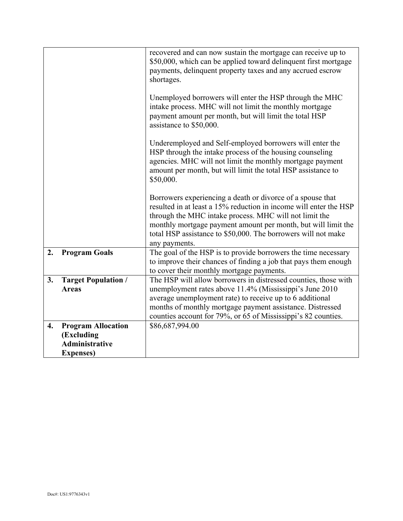|                    |                                                                                       | recovered and can now sustain the mortgage can receive up to<br>\$50,000, which can be applied toward delinquent first mortgage<br>payments, delinquent property taxes and any accrued escrow<br>shortages.<br>Unemployed borrowers will enter the HSP through the MHC<br>intake process. MHC will not limit the monthly mortgage<br>payment amount per month, but will limit the total HSP |
|--------------------|---------------------------------------------------------------------------------------|---------------------------------------------------------------------------------------------------------------------------------------------------------------------------------------------------------------------------------------------------------------------------------------------------------------------------------------------------------------------------------------------|
|                    |                                                                                       | assistance to \$50,000.<br>Underemployed and Self-employed borrowers will enter the<br>HSP through the intake process of the housing counseling<br>agencies. MHC will not limit the monthly mortgage payment<br>amount per month, but will limit the total HSP assistance to<br>\$50,000.                                                                                                   |
|                    |                                                                                       | Borrowers experiencing a death or divorce of a spouse that<br>resulted in at least a 15% reduction in income will enter the HSP<br>through the MHC intake process. MHC will not limit the<br>monthly mortgage payment amount per month, but will limit the<br>total HSP assistance to \$50,000. The borrowers will not make<br>any payments.                                                |
| 2.                 | <b>Program Goals</b>                                                                  | The goal of the HSP is to provide borrowers the time necessary<br>to improve their chances of finding a job that pays them enough<br>to cover their monthly mortgage payments.                                                                                                                                                                                                              |
| 3.                 | <b>Target Population /</b><br><b>Areas</b>                                            | The HSP will allow borrowers in distressed counties, those with<br>unemployment rates above 11.4% (Mississippi's June 2010<br>average unemployment rate) to receive up to 6 additional<br>months of monthly mortgage payment assistance. Distressed<br>counties account for 79%, or 65 of Mississippi's 82 counties.                                                                        |
| $\boldsymbol{4}$ . | <b>Program Allocation</b><br>(Excluding<br><b>Administrative</b><br><b>Expenses</b> ) | \$86,687,994.00                                                                                                                                                                                                                                                                                                                                                                             |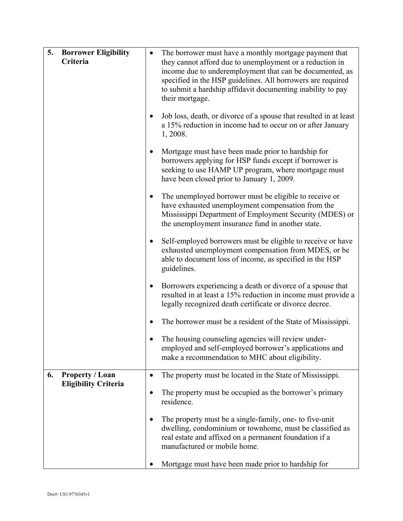| 5.<br><b>Borrower Eligibility</b><br>Criteria |                             |           | The borrower must have a monthly mortgage payment that<br>they cannot afford due to unemployment or a reduction in<br>income due to underemployment that can be documented, as<br>specified in the HSP guidelines. All borrowers are required<br>to submit a hardship affidavit documenting inability to pay<br>their mortgage. |
|-----------------------------------------------|-----------------------------|-----------|---------------------------------------------------------------------------------------------------------------------------------------------------------------------------------------------------------------------------------------------------------------------------------------------------------------------------------|
|                                               |                             |           | Job loss, death, or divorce of a spouse that resulted in at least<br>a 15% reduction in income had to occur on or after January<br>1, 2008.                                                                                                                                                                                     |
|                                               |                             | $\bullet$ | Mortgage must have been made prior to hardship for<br>borrowers applying for HSP funds except if borrower is<br>seeking to use HAMP UP program, where mortgage must<br>have been closed prior to January 1, 2009.                                                                                                               |
|                                               |                             | $\bullet$ | The unemployed borrower must be eligible to receive or<br>have exhausted unemployment compensation from the<br>Mississippi Department of Employment Security (MDES) or<br>the unemployment insurance fund in another state.                                                                                                     |
|                                               |                             |           | Self-employed borrowers must be eligible to receive or have<br>exhausted unemployment compensation from MDES, or be<br>able to document loss of income, as specified in the HSP<br>guidelines.                                                                                                                                  |
|                                               |                             | $\bullet$ | Borrowers experiencing a death or divorce of a spouse that<br>resulted in at least a 15% reduction in income must provide a<br>legally recognized death certificate or divorce decree.                                                                                                                                          |
|                                               |                             |           | The borrower must be a resident of the State of Mississippi.                                                                                                                                                                                                                                                                    |
|                                               |                             |           | The housing counseling agencies will review under-<br>employed and self-employed borrower's applications and<br>make a recommendation to MHC about eligibility.                                                                                                                                                                 |
| 6.                                            | <b>Property / Loan</b>      |           | The property must be located in the State of Mississippi.                                                                                                                                                                                                                                                                       |
|                                               | <b>Eligibility Criteria</b> |           | The property must be occupied as the borrower's primary<br>residence.                                                                                                                                                                                                                                                           |
|                                               |                             | $\bullet$ | The property must be a single-family, one- to five-unit<br>dwelling, condominium or townhome, must be classified as<br>real estate and affixed on a permanent foundation if a<br>manufactured or mobile home.                                                                                                                   |
|                                               |                             |           | Mortgage must have been made prior to hardship for                                                                                                                                                                                                                                                                              |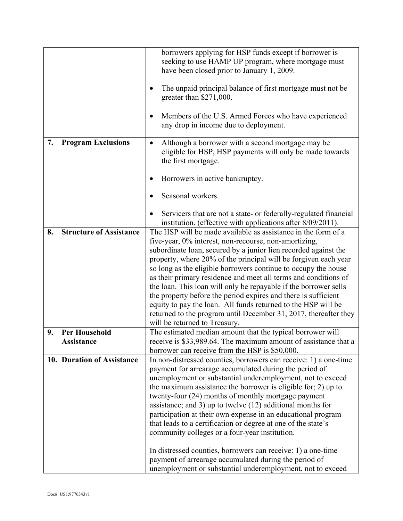|    |                                | borrowers applying for HSP funds except if borrower is           |
|----|--------------------------------|------------------------------------------------------------------|
|    |                                | seeking to use HAMP UP program, where mortgage must              |
|    |                                | have been closed prior to January 1, 2009.                       |
|    |                                |                                                                  |
|    |                                | The unpaid principal balance of first mortgage must not be       |
|    |                                | greater than $$271,000$ .                                        |
|    |                                |                                                                  |
|    |                                | Members of the U.S. Armed Forces who have experienced<br>٠       |
|    |                                | any drop in income due to deployment.                            |
|    |                                |                                                                  |
| 7. | <b>Program Exclusions</b>      | Although a borrower with a second mortgage may be<br>$\bullet$   |
|    |                                | eligible for HSP, HSP payments will only be made towards         |
|    |                                |                                                                  |
|    |                                | the first mortgage.                                              |
|    |                                | Borrowers in active bankruptcy.                                  |
|    |                                |                                                                  |
|    |                                | Seasonal workers.                                                |
|    |                                |                                                                  |
|    |                                | Servicers that are not a state- or federally-regulated financial |
|    |                                | institution. (effective with applications after 8/09/2011).      |
| 8. | <b>Structure of Assistance</b> | The HSP will be made available as assistance in the form of a    |
|    |                                | five-year, 0% interest, non-recourse, non-amortizing,            |
|    |                                | subordinate loan, secured by a junior lien recorded against the  |
|    |                                |                                                                  |
|    |                                | property, where 20% of the principal will be forgiven each year  |
|    |                                | so long as the eligible borrowers continue to occupy the house   |
|    |                                | as their primary residence and meet all terms and conditions of  |
|    |                                | the loan. This loan will only be repayable if the borrower sells |
|    |                                | the property before the period expires and there is sufficient   |
|    |                                | equity to pay the loan. All funds returned to the HSP will be    |
|    |                                | returned to the program until December 31, 2017, thereafter they |
|    |                                | will be returned to Treasury.                                    |
| 9. | <b>Per Household</b>           | The estimated median amount that the typical borrower will       |
|    | <b>Assistance</b>              | receive is \$33,989.64. The maximum amount of assistance that a  |
|    |                                | borrower can receive from the HSP is \$50,000.                   |
|    | 10. Duration of Assistance     | In non-distressed counties, borrowers can receive: 1) a one-time |
|    |                                | payment for arrearage accumulated during the period of           |
|    |                                | unemployment or substantial underemployment, not to exceed       |
|    |                                | the maximum assistance the borrower is eligible for; 2) up to    |
|    |                                | twenty-four (24) months of monthly mortgage payment              |
|    |                                | assistance; and 3) up to twelve $(12)$ additional months for     |
|    |                                | participation at their own expense in an educational program     |
|    |                                | that leads to a certification or degree at one of the state's    |
|    |                                | community colleges or a four-year institution.                   |
|    |                                |                                                                  |
|    |                                | In distressed counties, borrowers can receive: 1) a one-time     |
|    |                                | payment of arrearage accumulated during the period of            |
|    |                                |                                                                  |
|    |                                | unemployment or substantial underemployment, not to exceed       |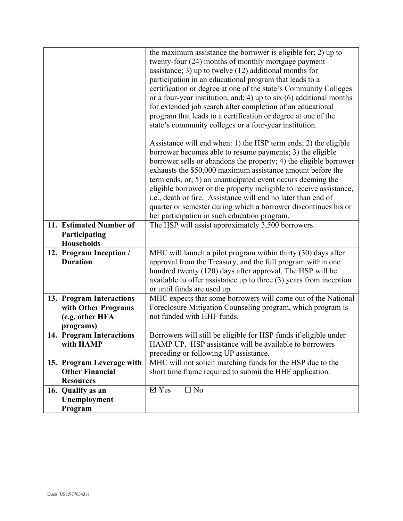|                           | the maximum assistance the borrower is eligible for; 2) up to        |
|---------------------------|----------------------------------------------------------------------|
|                           | twenty-four (24) months of monthly mortgage payment                  |
|                           | assistance; 3) up to twelve $(12)$ additional months for             |
|                           | participation in an educational program that leads to a              |
|                           | certification or degree at one of the state's Community Colleges     |
|                           | or a four-year institution, and; 4) up to $six(6)$ additional months |
|                           | for extended job search after completion of an educational           |
|                           | program that leads to a certification or degree at one of the        |
|                           | state's community colleges or a four-year institution.               |
|                           |                                                                      |
|                           | Assistance will end when: 1) the HSP term ends; 2) the eligible      |
|                           | borrower becomes able to resume payments; 3) the eligible            |
|                           | borrower sells or abandons the property; 4) the eligible borrower    |
|                           | exhausts the \$50,000 maximum assistance amount before the           |
|                           | term ends, or; 5) an unanticipated event occurs deeming the          |
|                           | eligible borrower or the property ineligible to receive assistance,  |
|                           | i.e., death or fire. Assistance will end no later than end of        |
|                           | quarter or semester during which a borrower discontinues his or      |
|                           | her participation in such education program.                         |
| 11. Estimated Number of   | The HSP will assist approximately 3,500 borrowers.                   |
| Participating             |                                                                      |
| <b>Households</b>         |                                                                      |
| 12. Program Inception /   | MHC will launch a pilot program within thirty (30) days after        |
| <b>Duration</b>           | approval from the Treasury, and the full program within one          |
|                           | hundred twenty (120) days after approval. The HSP will be            |
|                           | available to offer assistance up to three $(3)$ years from inception |
|                           | or until funds are used up.                                          |
| 13. Program Interactions  | MHC expects that some borrowers will come out of the National        |
| with Other Programs       | Foreclosure Mitigation Counseling program, which program is          |
| (e.g. other HFA           | not funded with HHF funds.                                           |
| programs)                 |                                                                      |
| 14. Program Interactions  | Borrowers will still be eligible for HSP funds if eligible under     |
| with HAMP                 | HAMP UP. HSP assistance will be available to borrowers               |
|                           | preceding or following UP assistance.                                |
| 15. Program Leverage with | MHC will not solicit matching funds for the HSP due to the           |
| <b>Other Financial</b>    | short time frame required to submit the HHF application.             |
| <b>Resources</b>          |                                                                      |
| 16. Qualify as an         | $\overline{\mathsf{d}}$ Yes<br>$\square$ No                          |
| Unemployment              |                                                                      |
| Program                   |                                                                      |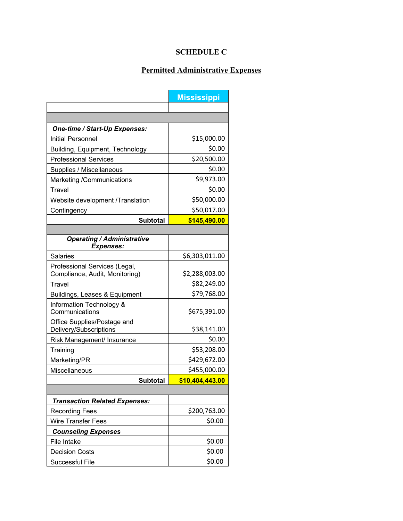## **SCHEDULE C**

## **Permitted Administrative Expenses**

|                                                                 | <b>Mississippi</b> |
|-----------------------------------------------------------------|--------------------|
|                                                                 |                    |
|                                                                 |                    |
| One-time / Start-Up Expenses:                                   |                    |
| <b>Initial Personnel</b>                                        | \$15,000.00        |
| Building, Equipment, Technology                                 | \$0.00             |
| <b>Professional Services</b>                                    | \$20,500.00        |
| Supplies / Miscellaneous                                        | \$0.00             |
| Marketing /Communications                                       | \$9,973.00         |
| Travel                                                          | \$0.00             |
| Website development /Translation                                | \$50,000.00        |
| Contingency                                                     | \$50,017.00        |
| <b>Subtotal</b>                                                 | \$145,490.00       |
|                                                                 |                    |
| <b>Operating / Administrative</b><br><b>Expenses:</b>           |                    |
| <b>Salaries</b>                                                 | \$6,303,011.00     |
| Professional Services (Legal,<br>Compliance, Audit, Monitoring) | \$2,288,003.00     |
| Travel                                                          | \$82,249.00        |
| Buildings, Leases & Equipment                                   | \$79,768.00        |
| Information Technology &<br>Communications                      | \$675,391.00       |
| Office Supplies/Postage and<br>Delivery/Subscriptions           | \$38,141.00        |
| Risk Management/ Insurance                                      | \$0.00             |
| Training                                                        | \$53,208.00        |
| Marketing/PR                                                    | \$429,672.00       |
| Miscellaneous                                                   | \$455,000.00       |
| <b>Subtotal</b>                                                 | \$10,404,443.00    |
|                                                                 |                    |
| <b>Transaction Related Expenses:</b>                            |                    |
| <b>Recording Fees</b>                                           | \$200,763.00       |
| <b>Wire Transfer Fees</b>                                       | \$0.00             |
| <b>Counseling Expenses</b>                                      |                    |
| File Intake                                                     | \$0.00             |
| <b>Decision Costs</b>                                           | \$0.00             |
| Successful File                                                 | \$0.00             |